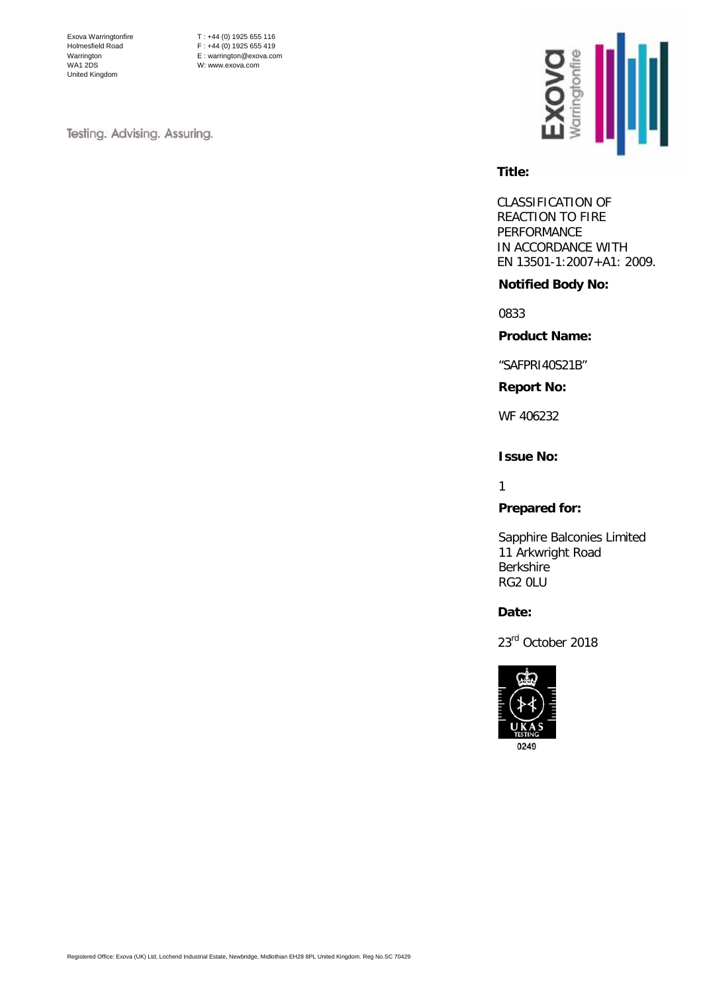Exova Warringtonfire Holmesfield Road Warrington WA1 2DS United Kingdom

T : +44 (0) 1925 655 116  $F : +44 (0) 1925 655 419$ E : warrington@exova.com W: www.exova.com

Testing. Advising. Assuring.



#### **Title:**

CLASSIFICATION OF REACTION TO FIRE PERFORMANCE IN ACCORDANCE WITH EN 13501-1:2007+A1: 2009.

### **Notified Body No:**

0833

**Product Name:**

"SAFPRI40S21B"

**Report No:**

WF 406232

# **Issue No:**

1

**Prepared for:**

Sapphire Balconies Limited 11 Arkwright Road Berkshire RG2 0LU

**Date:** 

23<sup>rd</sup> October 2018

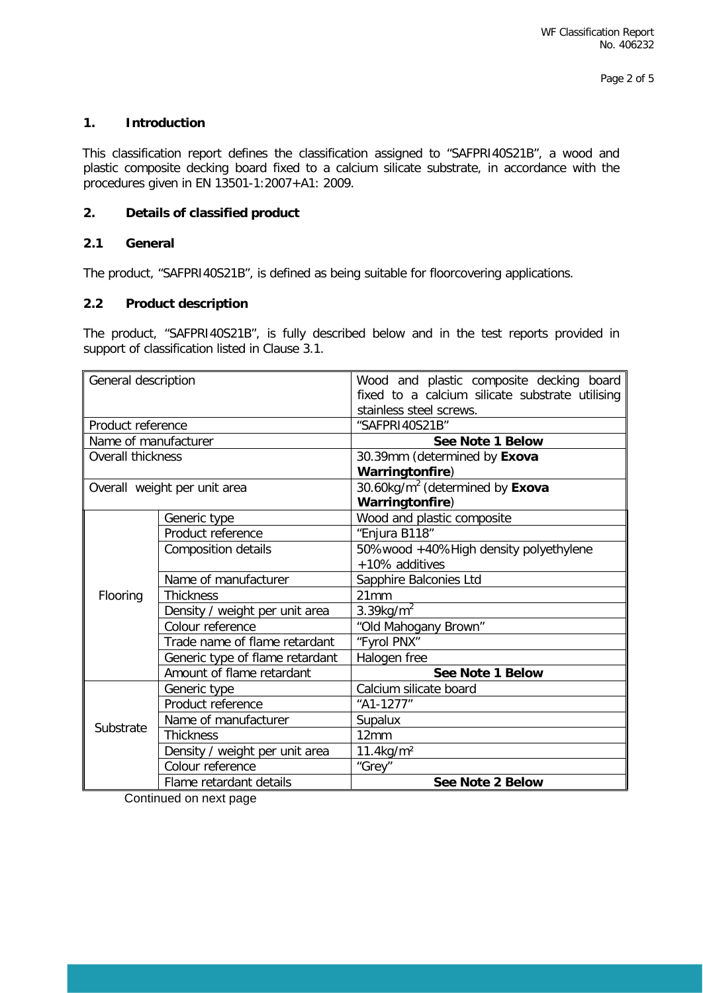# **1. Introduction**

This classification report defines the classification assigned to "SAFPRI40S21B", a wood and plastic composite decking board fixed to a calcium silicate substrate, in accordance with the procedures given in EN 13501-1:2007+A1: 2009.

## **2. Details of classified product**

# **2.1 General**

The product, "SAFPRI40S21B", is defined as being suitable for floorcovering applications.

# **2.2 Product description**

The product, "SAFPRI40S21B", is fully described below and in the test reports provided in support of classification listed in Clause 3.1.

| General description      |                                 | Wood and plastic composite decking board<br>fixed to a calcium silicate substrate utilising<br>stainless steel screws. |  |  |
|--------------------------|---------------------------------|------------------------------------------------------------------------------------------------------------------------|--|--|
| Product reference        |                                 | "SAFPRI40S21B"                                                                                                         |  |  |
| Name of manufacturer     |                                 | <b>See Note 1 Below</b>                                                                                                |  |  |
| <b>Overall thickness</b> |                                 | 30.39mm (determined by Exova                                                                                           |  |  |
|                          |                                 | Warringtonfire)                                                                                                        |  |  |
|                          | Overall weight per unit area    | 30.60kg/m <sup>2</sup> (determined by Exova                                                                            |  |  |
|                          |                                 | Warringtonfire)                                                                                                        |  |  |
|                          | Generic type                    | Wood and plastic composite                                                                                             |  |  |
|                          | Product reference               | "Enjura B118"                                                                                                          |  |  |
|                          | <b>Composition details</b>      | 50%wood +40%High density polyethylene                                                                                  |  |  |
|                          |                                 | +10% additives                                                                                                         |  |  |
|                          | Name of manufacturer            | Sapphire Balconies Ltd                                                                                                 |  |  |
| Flooring                 | <b>Thickness</b>                | 21mm                                                                                                                   |  |  |
|                          | Density / weight per unit area  | 3.39kg/ $m^2$                                                                                                          |  |  |
|                          | Colour reference                | "Old Mahogany Brown"                                                                                                   |  |  |
|                          | Trade name of flame retardant   | "Fyrol PNX"                                                                                                            |  |  |
|                          | Generic type of flame retardant | Halogen free                                                                                                           |  |  |
|                          | Amount of flame retardant       | See Note 1 Below                                                                                                       |  |  |
|                          | Generic type                    | Calcium silicate board                                                                                                 |  |  |
|                          | Product reference               | "A1-1277"                                                                                                              |  |  |
| Substrate                | Name of manufacturer            | Supalux                                                                                                                |  |  |
|                          | <b>Thickness</b>                | 12mm                                                                                                                   |  |  |
|                          | Density / weight per unit area  | $11.4$ kg/m <sup>2</sup>                                                                                               |  |  |
|                          | Colour reference                | "Grey"                                                                                                                 |  |  |
|                          | Flame retardant details         | See Note 2 Below                                                                                                       |  |  |

Continued on next page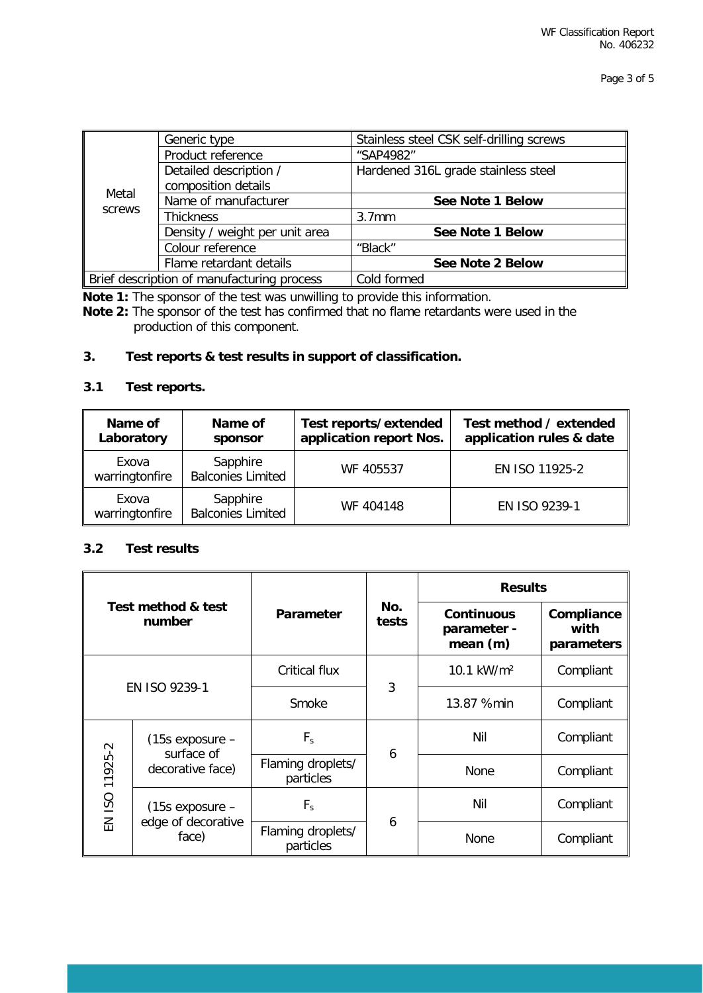| Metal<br>screws                            | Generic type                   | Stainless steel CSK self-drilling screws |  |  |
|--------------------------------------------|--------------------------------|------------------------------------------|--|--|
|                                            | Product reference              | "SAP4982"                                |  |  |
|                                            | Detailed description /         | Hardened 316L grade stainless steel      |  |  |
|                                            | composition details            |                                          |  |  |
|                                            | Name of manufacturer           | See Note 1 Below                         |  |  |
|                                            | <b>Thickness</b>               | 3.7 <sub>mm</sub>                        |  |  |
|                                            | Density / weight per unit area | See Note 1 Below                         |  |  |
|                                            | Colour reference               | "Black"                                  |  |  |
|                                            | Flame retardant details        | See Note 2 Below                         |  |  |
| Brief description of manufacturing process |                                | Cold formed                              |  |  |

**Note 1:** The sponsor of the test was unwilling to provide this information.

**Note 2:** The sponsor of the test has confirmed that no flame retardants were used in the production of this component.

# **3. Test reports & test results in support of classification.**

# **3.1 Test reports.**

| Name of<br>Laboratory   | Name of<br>sponsor                   | Test reports/extended<br>application report Nos. | Test method / extended<br>application rules & date |
|-------------------------|--------------------------------------|--------------------------------------------------|----------------------------------------------------|
| Exova<br>warringtonfire | Sapphire<br><b>Balconies Limited</b> | WF 405537                                        | EN ISO 11925-2                                     |
| Exova<br>warringtonfire | Sapphire<br><b>Balconies Limited</b> | WF 404148                                        | EN ISO 9239-1                                      |

# **3.2 Test results**

| Test method & test<br>number |                                                       | Parameter                      |              | <b>Results</b>                               |                                  |
|------------------------------|-------------------------------------------------------|--------------------------------|--------------|----------------------------------------------|----------------------------------|
|                              |                                                       |                                | No.<br>tests | <b>Continuous</b><br>parameter -<br>mean (m) | Compliance<br>with<br>parameters |
| EN ISO 9239-1                |                                                       | <b>Critical flux</b>           |              | 10.1 kW/m <sup>2</sup>                       | Compliant                        |
|                              |                                                       | Smoke                          | 3            | 13.87 %min                                   | Compliant                        |
| EN ISO 11925-2               | $(15s$ exposure $-$<br>surface of<br>decorative face) | $F_s$                          |              | Nil                                          | Compliant                        |
|                              |                                                       | Flaming droplets/<br>particles | 6            | None                                         | Compliant                        |
|                              | $(15s$ exposure $-$<br>edge of decorative<br>face)    | $F_s$                          | 6            | Nil                                          | Compliant                        |
|                              |                                                       | Flaming droplets/<br>particles |              | None                                         | Compliant                        |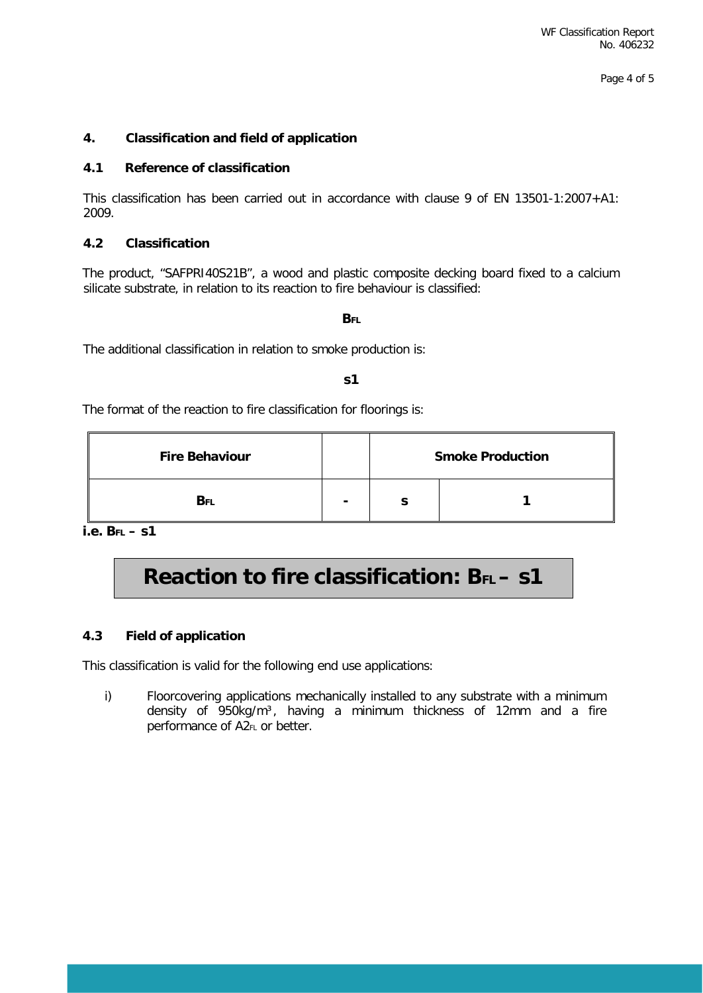Page 4 of 5

# **4. Classification and field of application**

## **4.1 Reference of classification**

This classification has been carried out in accordance with clause 9 of EN 13501-1:2007+A1: 2009.

# **4.2 Classification**

The product, "SAFPRI40S21B", a wood and plastic composite decking board fixed to a calcium silicate substrate, in relation to its reaction to fire behaviour is classified:

#### **BFL**

The additional classification in relation to smoke production is:

#### **s1**

The format of the reaction to fire classification for floorings is:

| <b>Fire Behaviour</b> |                | <b>Smoke Production</b> |  |  |
|-----------------------|----------------|-------------------------|--|--|
| BFI                   | $\blacksquare$ |                         |  |  |

**i.e. BFL – s1** 

# **Reaction to fire classification: BFL - S1**

### **4.3 Field of application**

This classification is valid for the following end use applications:

i) Floorcovering applications mechanically installed to any substrate with a minimum density of 950kg/m<sup>3</sup>, having a minimum thickness of 12mm and a fire performance of A2FL or better.